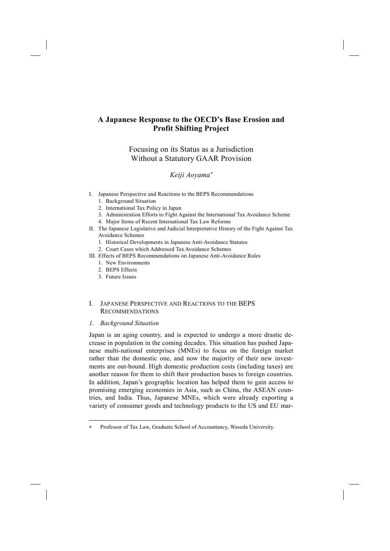# **A Japanese Response to the OECD's Base Erosion and Profit Shifting Project**

# Focusing on its Status as a Jurisdiction Without a Statutory GAAR Provision

# *Keiji Aoyama*<sup>∗</sup>

- I. Japanese Perspective and Reactions to the BEPS Recommendations
	- 1. Background Situation
	- 2. International Tax Policy in Japan
	- 3. Administration Efforts to Fight Against the International Tax Avoidance Scheme
	- 4. Major Items of Recent International Tax Law Reforms
- II. The Japanese Legislative and Judicial Interpretative History of the Fight Against Tax Avoidance Schemes
	- 1. Historical Developments in Japanese Anti-Avoidance Statutes
	- 2. Court Cases which Addressed Tax Avoidance Schemes
- III. Effects of BEPS Recommendations on Japanese Anti-Avoidance Rules
	- 1. New Environments
	- 2. BEPS Effects
	- 3. Future Issues

# I. JAPANESE PERSPECTIVE AND REACTIONS TO THE BEPS RECOMMENDATIONS

# *1. Background Situation*

-

Japan is an aging country, and is expected to undergo a more drastic decrease in population in the coming decades. This situation has pushed Japanese multi-national enterprises (MNEs) to focus on the foreign market rather than the domestic one, and now the majority of their new investments are out-bound. High domestic production costs (including taxes) are another reason for them to shift their production bases to foreign countries. In addition, Japan's geographic location has helped them to gain access to promising emerging economies in Asia, such as China, the ASEAN countries, and India. Thus, Japanese MNEs, which were already exporting a variety of consumer goods and technology products to the US and EU mar-

Professor of Tax Law, Graduate School of Accountancy, Waseda University.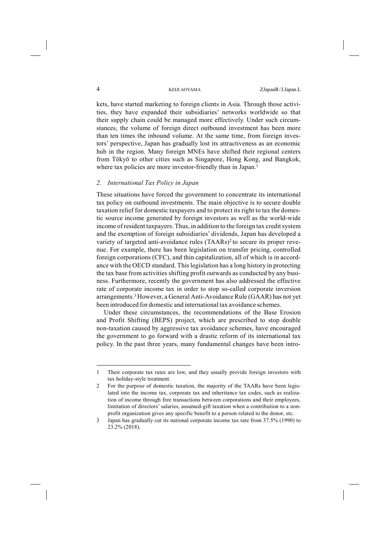kets, have started marketing to foreign clients in Asia. Through those activities, they have expanded their subsidiaries' networks worldwide so that their supply chain could be managed more effectively. Under such circumstances, the volume of foreign direct outbound investment has been more than ten times the inbound volume. At the same time, from foreign investors' perspective, Japan has gradually lost its attractiveness as an economic hub in the region. Many foreign MNEs have shifted their regional centers from Tōkyō to other cities such as Singapore, Hong Kong, and Bangkok, where tax policies are more investor-friendly than in Japan.<sup>1</sup>

### *2. International Tax Policy in Japan*

These situations have forced the government to concentrate its international tax policy on outbound investments. The main objective is to secure double taxation relief for domestic taxpayers and to protect its right to tax the domestic source income generated by foreign investors as well as the world-wide income of resident taxpayers. Thus, in addition to the foreign tax credit system and the exemption of foreign subsidiaries' dividends, Japan has developed a variety of targeted anti-avoidance rules (TAARs)<sup>2</sup> to secure its proper revenue. For example, there has been legislation on transfer pricing, controlled foreign corporations (CFC), and thin capitalization, all of which is in accordance with the OECD standard. This legislation has a long history in protecting the tax base from activities shifting profit outwards as conducted by any business. Furthermore, recently the government has also addressed the effective rate of corporate income tax in order to stop so-called corporate inversion arrangements.3 However, a General Anti-Avoidance Rule (GAAR) has not yet been introduced for domestic and international tax avoidance schemes.

Under these circumstances, the recommendations of the Base Erosion and Profit Shifting (BEPS) project, which are prescribed to stop double non-taxation caused by aggressive tax avoidance schemes, have encouraged the government to go forward with a drastic reform of its international tax policy. In the past three years, many fundamental changes have been intro-

 $\overline{a}$ 

<sup>1</sup> Their corporate tax rates are low, and they usually provide foreign investors with tax holiday-style treatment.

<sup>2</sup> For the purpose of domestic taxation, the majority of the TAARs have been legislated into the income tax, corporate tax and inheritance tax codes, such as realization of income through free transactions between corporations and their employees, limitation of directors' salaries, assumed-gift taxation when a contribution to a nonprofit organization gives any specific benefit to a person related to the donor, etc.

<sup>3</sup> Japan has gradually cut its national corporate income tax rate from 37.5% (1990) to 23.2% (2018).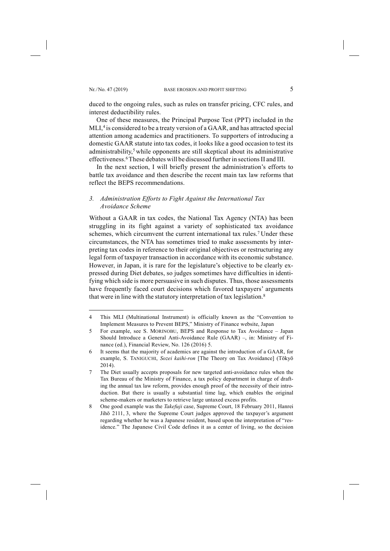-

duced to the ongoing rules, such as rules on transfer pricing, CFC rules, and interest deductibility rules.

One of these measures, the Principal Purpose Test (PPT) included in the MLI, <sup>4</sup> is considered to be a treaty version of a GAAR, and has attracted special attention among academics and practitioners. To supporters of introducing a domestic GAAR statute into tax codes, it looks like a good occasion to test its administrability, <sup>5</sup> while opponents are still skeptical about its administrative effectiveness.<sup>6</sup> These debates will be discussed further in sections II and III.

In the next section, I will briefly present the administration's efforts to battle tax avoidance and then describe the recent main tax law reforms that reflect the BEPS recommendations.

# *3. Administration Efforts to Fight Against the International Tax Avoidance Scheme*

Without a GAAR in tax codes, the National Tax Agency (NTA) has been struggling in its fight against a variety of sophisticated tax avoidance schemes, which circumvent the current international tax rules.<sup>7</sup> Under these circumstances, the NTA has sometimes tried to make assessments by interpreting tax codes in reference to their original objectives or restructuring any legal form of taxpayer transaction in accordance with its economic substance. However, in Japan, it is rare for the legislature's objective to be clearly expressed during Diet debates, so judges sometimes have difficulties in identifying which side is more persuasive in such disputes. Thus, those assessments have frequently faced court decisions which favored taxpayers' arguments that were in line with the statutory interpretation of tax legislation.<sup>8</sup>

<sup>4</sup> This MLI (Multinational Instrument) is officially known as the "Convention to Implement Measures to Prevent BEPS," Ministry of Finance website, Japan

<sup>5</sup> For example, see S. MORINOBU, BEPS and Response to Tax Avoidance – Japan Should Introduce a General Anti-Avoidance Rule (GAAR) –, in: Ministry of Finance (ed.), Financial Review, No. 126 (2016) 5.

<sup>6</sup> It seems that the majority of academics are against the introduction of a GAAR, for example, S. TANIGUCHI, *Sozei kaihi-ron* [The Theory on Tax Avoidance] (Tōkyō 2014).

<sup>7</sup> The Diet usually accepts proposals for new targeted anti-avoidance rules when the Tax Bureau of the Ministry of Finance, a tax policy department in charge of drafting the annual tax law reform, provides enough proof of the necessity of their introduction. But there is usually a substantial time lag, which enables the original scheme-makers or marketers to retrieve large untaxed excess profits.

<sup>8</sup> One good example was the *Takefuji* case, Supreme Court, 18 February 2011, Hanrei Jihō 2111, 3, where the Supreme Court judges approved the taxpayer's argument regarding whether he was a Japanese resident, based upon the interpretation of "residence." The Japanese Civil Code defines it as a center of living, so the decision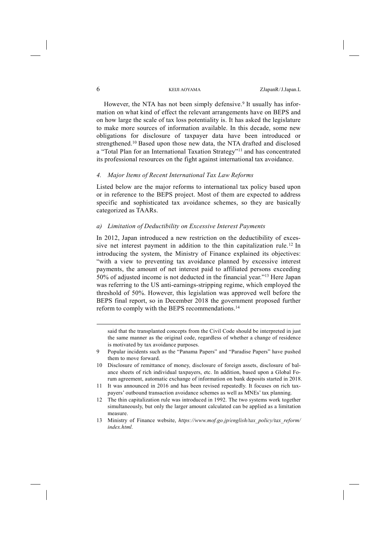However, the NTA has not been simply defensive.<sup>9</sup> It usually has information on what kind of effect the relevant arrangements have on BEPS and on how large the scale of tax loss potentiality is. It has asked the legislature to make more sources of information available. In this decade, some new obligations for disclosure of taxpayer data have been introduced or strengthened.10 Based upon those new data, the NTA drafted and disclosed a "Total Plan for an International Taxation Strategy"11 and has concentrated its professional resources on the fight against international tax avoidance.

## *4. Major Items of Recent International Tax Law Reforms*

Listed below are the major reforms to international tax policy based upon or in reference to the BEPS project. Most of them are expected to address specific and sophisticated tax avoidance schemes, so they are basically categorized as TAARs.

# *a) Limitation of Deductibility on Excessive Interest Payments*

In 2012, Japan introduced a new restriction on the deductibility of excessive net interest payment in addition to the thin capitalization rule.<sup>12</sup> In introducing the system, the Ministry of Finance explained its objectives: "with a view to preventing tax avoidance planned by excessive interest payments, the amount of net interest paid to affiliated persons exceeding 50% of adjusted income is not deducted in the financial year."13 Here Japan was referring to the US anti-earnings-stripping regime, which employed the threshold of 50%. However, this legislation was approved well before the BEPS final report, so in December 2018 the government proposed further reform to comply with the BEPS recommendations.14

said that the transplanted concepts from the Civil Code should be interpreted in just the same manner as the original code, regardless of whether a change of residence is motivated by tax avoidance purposes.

- 9 Popular incidents such as the "Panama Papers" and "Paradise Papers" have pushed them to move forward.
- 10 Disclosure of remittance of money, disclosure of foreign assets, disclosure of balance sheets of rich individual taxpayers, etc. In addition, based upon a Global Forum agreement, automatic exchange of information on bank deposits started in 2018.
- 11 It was announced in 2016 and has been revised repeatedly. It focuses on rich taxpayers' outbound transaction avoidance schemes as well as MNEs' tax planning.
- 12 The thin capitalization rule was introduced in 1992. The two systems work together simultaneously, but only the larger amount calculated can be applied as a limitation measure.
- 13 Ministry of Finance website, *https://www.mof.go.jp/english/tax\_policy/tax\_reform/ index.html.*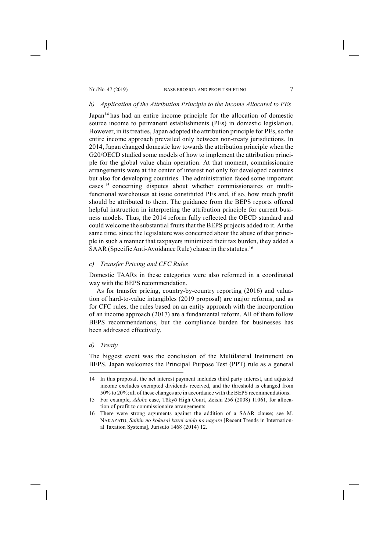### *b) Application of the Attribution Principle to the Income Allocated to PEs*

Japan<sup>14</sup> has had an entire income principle for the allocation of domestic source income to permanent establishments (PEs) in domestic legislation. However, in its treaties, Japan adopted the attribution principle for PEs, so the entire income approach prevailed only between non-treaty jurisdictions. In 2014, Japan changed domestic law towards the attribution principle when the G20/OECD studied some models of how to implement the attribution principle for the global value chain operation. At that moment, commissionaire arrangements were at the center of interest not only for developed countries but also for developing countries. The administration faced some important cases <sup>15</sup> concerning disputes about whether commissionaires or multifunctional warehouses at issue constituted PEs and, if so, how much profit should be attributed to them. The guidance from the BEPS reports offered helpful instruction in interpreting the attribution principle for current business models. Thus, the 2014 reform fully reflected the OECD standard and could welcome the substantial fruits that the BEPS projects added to it. At the same time, since the legislature was concerned about the abuse of that principle in such a manner that taxpayers minimized their tax burden, they added a SAAR (Specific Anti-Avoidance Rule) clause in the statutes.<sup>16</sup>

# *c) Transfer Pricing and CFC Rules*

Domestic TAARs in these categories were also reformed in a coordinated way with the BEPS recommendation.

As for transfer pricing, country-by-country reporting (2016) and valuation of hard-to-value intangibles (2019 proposal) are major reforms, and as for CFC rules, the rules based on an entity approach with the incorporation of an income approach (2017) are a fundamental reform. All of them follow BEPS recommendations, but the compliance burden for businesses has been addressed effectively.

#### *d) Treaty*

-

The biggest event was the conclusion of the Multilateral Instrument on BEPS. Japan welcomes the Principal Purpose Test (PPT) rule as a general

<sup>14</sup> In this proposal, the net interest payment includes third party interest, and adjusted income excludes exempted dividends received, and the threshold is changed from 50% to 20%; all of these changes are in accordance with the BEPS recommendations.

<sup>15</sup> For example, *Adobe* case, Tōkyō High Court, Zeishi 256 (2008) 11061, for allocation of profit to commissionaire arrangements

<sup>16</sup> There were strong arguments against the addition of a SAAR clause; see M. NAKAZATO, *Saikin no kokusai kazei seido no nagare* [Recent Trends in International Taxation Systems], Jurisuto 1468 (2014) 12.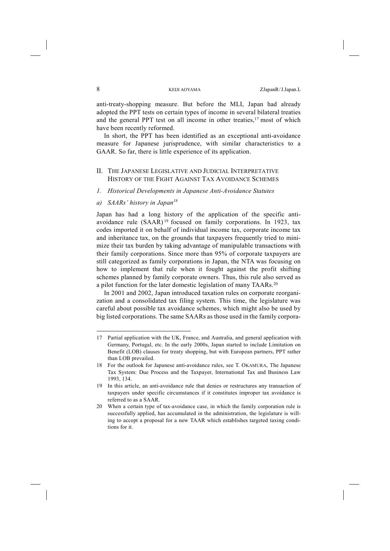anti-treaty-shopping measure. But before the MLI, Japan had already adopted the PPT tests on certain types of income in several bilateral treaties and the general PPT test on all income in other treaties, <sup>17</sup> most of which have been recently reformed.

In short, the PPT has been identified as an exceptional anti-avoidance measure for Japanese jurisprudence, with similar characteristics to a GAAR. So far, there is little experience of its application.

# II. THE JAPANESE LEGISLATIVE AND JUDICIAL INTERPRETATIVE HISTORY OF THE FIGHT AGAINST TAX AVOIDANCE SCHEMES

- *1. Historical Developments in Japanese Anti-Avoidance Statutes*
- *a) SAARs' history in Japan18*

Japan has had a long history of the application of the specific antiavoidance rule (SAAR) <sup>19</sup> focused on family corporations. In 1923, tax codes imported it on behalf of individual income tax, corporate income tax and inheritance tax, on the grounds that taxpayers frequently tried to minimize their tax burden by taking advantage of manipulable transactions with their family corporations. Since more than 95% of corporate taxpayers are still categorized as family corporations in Japan, the NTA was focusing on how to implement that rule when it fought against the profit shifting schemes planned by family corporate owners. Thus, this rule also served as a pilot function for the later domestic legislation of many TAARs.<sup>20</sup>

In 2001 and 2002, Japan introduced taxation rules on corporate reorganization and a consolidated tax filing system. This time, the legislature was careful about possible tax avoidance schemes, which might also be used by big listed corporations. The same SAARs as those used in the family corpora-

<sup>17</sup> Partial application with the UK, France, and Australia, and general application with Germany, Portugal, etc. In the early 2000s, Japan started to include Limitation on Benefit (LOB) clauses for treaty shopping, but with European partners, PPT rather than LOB prevailed.

<sup>18</sup> For the outlook for Japanese anti-avoidance rules, see T. OKAMURA, The Japanese Tax System: Due Process and the Taxpayer, International Tax and Business Law 1993, 134.

<sup>19</sup> In this article, an anti-avoidance rule that denies or restructures any transaction of taxpayers under specific circumstances if it constitutes improper tax avoidance is referred to as a SAAR.

<sup>20</sup> When a certain type of tax-avoidance case, in which the family corporation rule is successfully applied, has accumulated in the administration, the legislature is willing to accept a proposal for a new TAAR which establishes targeted taxing conditions for it.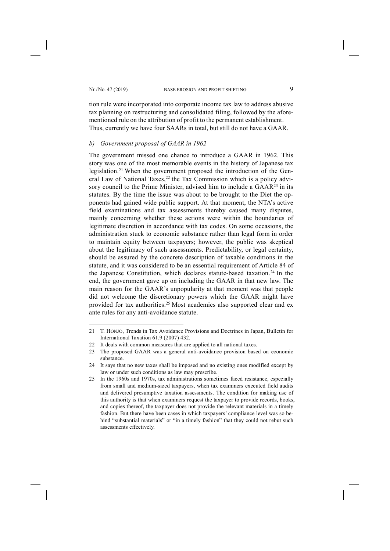-

tion rule were incorporated into corporate income tax law to address abusive tax planning on restructuring and consolidated filing, followed by the aforementioned rule on the attribution of profit to the permanent establishment. Thus, currently we have four SAARs in total, but still do not have a GAAR.

### *b) Government proposal of GAAR in 1962*

The government missed one chance to introduce a GAAR in 1962. This story was one of the most memorable events in the history of Japanese tax legislation.21 When the government proposed the introduction of the General Law of National Taxes,  $22$  the Tax Commission which is a policy advisory council to the Prime Minister, advised him to include a GAAR<sup>23</sup> in its statutes. By the time the issue was about to be brought to the Diet the opponents had gained wide public support. At that moment, the NTA's active field examinations and tax assessments thereby caused many disputes, mainly concerning whether these actions were within the boundaries of legitimate discretion in accordance with tax codes. On some occasions, the administration stuck to economic substance rather than legal form in order to maintain equity between taxpayers; however, the public was skeptical about the legitimacy of such assessments. Predictability, or legal certainty, should be assured by the concrete description of taxable conditions in the statute, and it was considered to be an essential requirement of Article 84 of the Japanese Constitution, which declares statute-based taxation.24 In the end, the government gave up on including the GAAR in that new law. The main reason for the GAAR's unpopularity at that moment was that people did not welcome the discretionary powers which the GAAR might have provided for tax authorities.25 Most academics also supported clear and ex ante rules for any anti-avoidance statute.

<sup>21</sup> T. HONJO, Trends in Tax Avoidance Provisions and Doctrines in Japan, Bulletin for International Taxation 61.9 (2007) 432.

<sup>22</sup> It deals with common measures that are applied to all national taxes.

<sup>23</sup> The proposed GAAR was a general anti-avoidance provision based on economic substance.

<sup>24</sup> It says that no new taxes shall be imposed and no existing ones modified except by law or under such conditions as law may prescribe.

<sup>25</sup> In the 1960s and 1970s, tax administrations sometimes faced resistance, especially from small and medium-sized taxpayers, when tax examiners executed field audits and delivered presumptive taxation assessments. The condition for making use of this authority is that when examiners request the taxpayer to provide records, books, and copies thereof, the taxpayer does not provide the relevant materials in a timely fashion. But there have been cases in which taxpayers' compliance level was so behind "substantial materials" or "in a timely fashion" that they could not rebut such assessments effectively.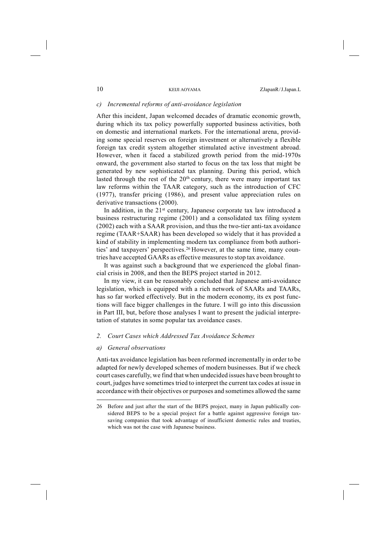### *c) Incremental reforms of anti-avoidance legislation*

After this incident, Japan welcomed decades of dramatic economic growth, during which its tax policy powerfully supported business activities, both on domestic and international markets. For the international arena, providing some special reserves on foreign investment or alternatively a flexible foreign tax credit system altogether stimulated active investment abroad. However, when it faced a stabilized growth period from the mid-1970s onward, the government also started to focus on the tax loss that might be generated by new sophisticated tax planning. During this period, which lasted through the rest of the  $20<sup>th</sup>$  century, there were many important tax law reforms within the TAAR category, such as the introduction of CFC (1977), transfer pricing (1986), and present value appreciation rules on derivative transactions (2000).

In addition, in the  $21<sup>st</sup>$  century, Japanese corporate tax law introduced a business restructuring regime (2001) and a consolidated tax filing system (2002) each with a SAAR provision, and thus the two-tier anti-tax avoidance regime (TAAR+SAAR) has been developed so widely that it has provided a kind of stability in implementing modern tax compliance from both authorities' and taxpayers' perspectives.26 However, at the same time, many countries have accepted GAARs as effective measures to stop tax avoidance.

It was against such a background that we experienced the global financial crisis in 2008, and then the BEPS project started in 2012.

In my view, it can be reasonably concluded that Japanese anti-avoidance legislation, which is equipped with a rich network of SAARs and TAARs, has so far worked effectively. But in the modern economy, its ex post functions will face bigger challenges in the future. I will go into this discussion in Part III, but, before those analyses I want to present the judicial interpretation of statutes in some popular tax avoidance cases.

# *2. Court Cases which Addressed Tax Avoidance Schemes*

#### *a) General observations*

-

Anti-tax avoidance legislation has been reformed incrementally in order to be adapted for newly developed schemes of modern businesses. But if we check court cases carefully, we find that when undecided issues have been brought to court, judges have sometimes tried to interpret the current tax codes at issue in accordance with their objectives or purposes and sometimes allowed the same

<sup>26</sup> Before and just after the start of the BEPS project, many in Japan publically considered BEPS to be a special project for a battle against aggressive foreign taxsaving companies that took advantage of insufficient domestic rules and treaties, which was not the case with Japanese business.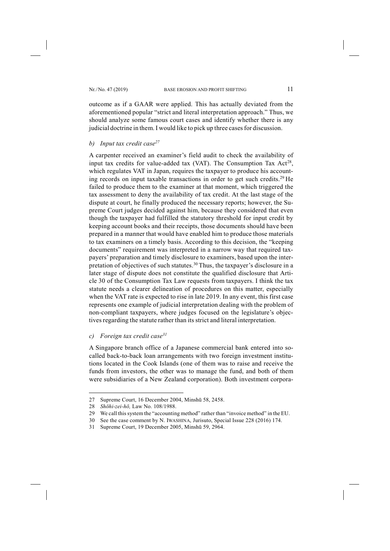outcome as if a GAAR were applied. This has actually deviated from the aforementioned popular "strict and literal interpretation approach." Thus, we should analyze some famous court cases and identify whether there is any judicial doctrine in them. I would like to pick up three cases for discussion.

# *b) Input tax credit case27*

A carpenter received an examiner's field audit to check the availability of input tax credits for value-added tax (VAT). The Consumption Tax  $Act^{28}$ , which regulates VAT in Japan, requires the taxpayer to produce his accounting records on input taxable transactions in order to get such credits.29 He failed to produce them to the examiner at that moment, which triggered the tax assessment to deny the availability of tax credit. At the last stage of the dispute at court, he finally produced the necessary reports; however, the Supreme Court judges decided against him, because they considered that even though the taxpayer had fulfilled the statutory threshold for input credit by keeping account books and their receipts, those documents should have been prepared in a manner that would have enabled him to produce those materials to tax examiners on a timely basis. According to this decision, the "keeping documents" requirement was interpreted in a narrow way that required taxpayers' preparation and timely disclosure to examiners, based upon the interpretation of objectives of such statutes.30 Thus, the taxpayer's disclosure in a later stage of dispute does not constitute the qualified disclosure that Article 30 of the Consumption Tax Law requests from taxpayers. I think the tax statute needs a clearer delineation of procedures on this matter, especially when the VAT rate is expected to rise in late 2019. In any event, this first case represents one example of judicial interpretation dealing with the problem of non-compliant taxpayers, where judges focused on the legislature's objectives regarding the statute rather than its strict and literal interpretation.

*c) Foreign tax credit case31* 

A Singapore branch office of a Japanese commercial bank entered into socalled back-to-back loan arrangements with two foreign investment institutions located in the Cook Islands (one of them was to raise and receive the funds from investors, the other was to manage the fund, and both of them were subsidiaries of a New Zealand corporation). Both investment corpora-

<sup>27</sup> Supreme Court, 16 December 2004, Minshū 58, 2458.

<sup>28</sup> *Shōhi-zei-hō,* Law No. 108/1988.

<sup>29</sup> We call thissystem the "accounting method" rather than "invoice method" in the EU.

<sup>30</sup> See the case comment by N. IWASHINA, Jurisuto, Special Issue 228 (2016) 174.

<sup>31</sup> Supreme Court, 19 December 2005, Minshū 59, 2964.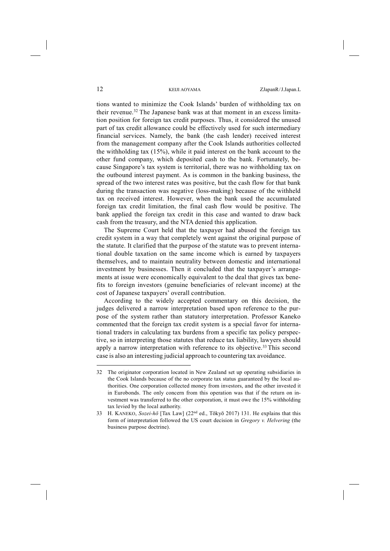tions wanted to minimize the Cook Islands' burden of withholding tax on their revenue.32 The Japanese bank was at that moment in an excess limitation position for foreign tax credit purposes. Thus, it considered the unused part of tax credit allowance could be effectively used for such intermediary financial services. Namely, the bank (the cash lender) received interest from the management company after the Cook Islands authorities collected the withholding tax (15%), while it paid interest on the bank account to the other fund company, which deposited cash to the bank. Fortunately, because Singapore's tax system is territorial, there was no withholding tax on the outbound interest payment. As is common in the banking business, the spread of the two interest rates was positive, but the cash flow for that bank during the transaction was negative (loss-making) because of the withheld tax on received interest. However, when the bank used the accumulated foreign tax credit limitation, the final cash flow would be positive. The bank applied the foreign tax credit in this case and wanted to draw back cash from the treasury, and the NTA denied this application.

The Supreme Court held that the taxpayer had abused the foreign tax credit system in a way that completely went against the original purpose of the statute. It clarified that the purpose of the statute was to prevent international double taxation on the same income which is earned by taxpayers themselves, and to maintain neutrality between domestic and international investment by businesses. Then it concluded that the taxpayer's arrangements at issue were economically equivalent to the deal that gives tax benefits to foreign investors (genuine beneficiaries of relevant income) at the cost of Japanese taxpayers' overall contribution.

According to the widely accepted commentary on this decision, the judges delivered a narrow interpretation based upon reference to the purpose of the system rather than statutory interpretation. Professor Kaneko commented that the foreign tax credit system is a special favor for international traders in calculating tax burdens from a specific tax policy perspective, so in interpreting those statutes that reduce tax liability, lawyers should apply a narrow interpretation with reference to its objective.<sup>33</sup> This second case is also an interesting judicial approach to countering tax avoidance.

<sup>32</sup> The originator corporation located in New Zealand set up operating subsidiaries in the Cook Islands because of the no corporate tax status guaranteed by the local authorities. One corporation collected money from investors, and the other invested it in Eurobonds. The only concern from this operation was that if the return on investment was transferred to the other corporation, it must owe the 15% withholding tax levied by the local authority.

<sup>33</sup> H. KANEKO, *Sozei-hō* [Tax Law] (22nd ed., Tōkyō 2017) 131. He explains that this form of interpretation followed the US court decision in *Gregory v. Helvering* (the business purpose doctrine).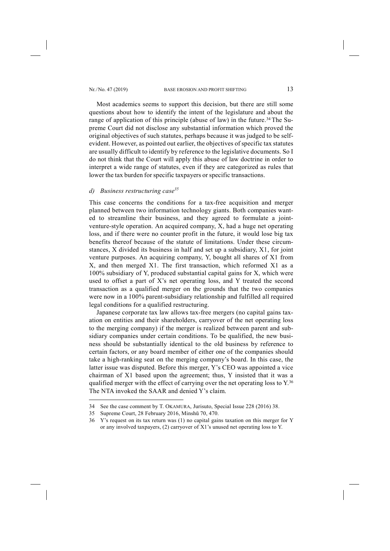Most academics seems to support this decision, but there are still some questions about how to identify the intent of the legislature and about the range of application of this principle (abuse of law) in the future.<sup>34</sup> The Supreme Court did not disclose any substantial information which proved the original objectives of such statutes, perhaps because it was judged to be selfevident. However, as pointed out earlier, the objectives of specific tax statutes are usually difficult to identify by reference to the legislative documents. So I do not think that the Court will apply this abuse of law doctrine in order to interpret a wide range of statutes, even if they are categorized as rules that lower the tax burden for specific taxpayers or specific transactions.

# *d) Business restructuring case35*

This case concerns the conditions for a tax-free acquisition and merger planned between two information technology giants. Both companies wanted to streamline their business, and they agreed to formulate a jointventure-style operation. An acquired company, X, had a huge net operating loss, and if there were no counter profit in the future, it would lose big tax benefits thereof because of the statute of limitations. Under these circumstances, X divided its business in half and set up a subsidiary, X1, for joint venture purposes. An acquiring company, Y, bought all shares of X1 from X, and then merged X1. The first transaction, which reformed X1 as a 100% subsidiary of Y, produced substantial capital gains for X, which were used to offset a part of X's net operating loss, and Y treated the second transaction as a qualified merger on the grounds that the two companies were now in a 100% parent-subsidiary relationship and fulfilled all required legal conditions for a qualified restructuring.

Japanese corporate tax law allows tax-free mergers (no capital gains taxation on entities and their shareholders, carryover of the net operating loss to the merging company) if the merger is realized between parent and subsidiary companies under certain conditions. To be qualified, the new business should be substantially identical to the old business by reference to certain factors, or any board member of either one of the companies should take a high-ranking seat on the merging company's board. In this case, the latter issue was disputed. Before this merger, Y's CEO was appointed a vice chairman of X1 based upon the agreement; thus, Y insisted that it was a qualified merger with the effect of carrying over the net operating loss to Y.<sup>36</sup> The NTA invoked the SAAR and denied Y's claim.

<sup>34</sup> See the case comment by T. OKAMURA, Jurisuto, Special Issue 228 (2016) 38.

<sup>35</sup> Supreme Court, 28 February 2016, Minshū 70, 470.

<sup>36</sup> Y's request on its tax return was (1) no capital gains taxation on this merger for Y or any involved taxpayers, (2) carryover of X1's unused net operating loss to Y.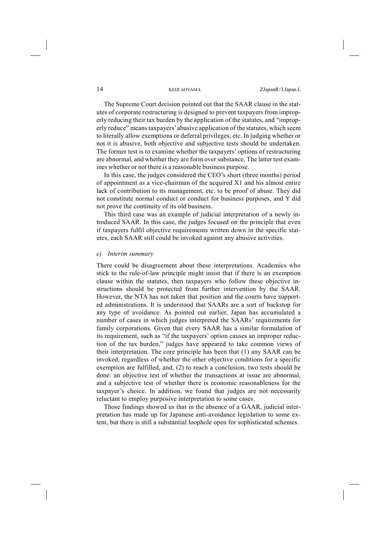The Supreme Court decision pointed out that the SAAR clause in the statutes of corporate restructuring is designed to prevent taxpayers from improperly reducing their tax burden by the application of the statutes, and "improperly reduce" meanstaxpayers' abusive application of the statutes, which seem to literally allow exemptions or deferral privileges, etc. In judging whether or not it is abusive, both objective and subjective tests should be undertaken. The former test is to examine whether the taxpayers' options of restructuring are abnormal, and whether they are form over substance. The latter test examines whether or not there is a reasonable business purpose.

In this case, the judges considered the CEO's short (three months) period of appointment as a vice-chairman of the acquired X1 and his almost entire lack of contribution to its management, etc. to be proof of abuse. They did not constitute normal conduct or conduct for business purposes, and Y did not prove the continuity of its old business.

This third case was an example of judicial interpretation of a newly introduced SAAR. In this case, the judges focused on the principle that even if taxpayers fulfil objective requirements written down in the specific statutes, each SAAR still could be invoked against any abusive activities.

### *e) Interim summary*

There could be disagreement about these interpretations. Academics who stick to the rule-of-law principle might insist that if there is an exemption clause within the statutes, then taxpayers who follow these objective instructions should be protected from further intervention by the SAAR. However, the NTA has not taken that position and the courts have supported administrations. It is understood that SAARs are a sort of backstop for any type of avoidance. As pointed out earlier, Japan has accumulated a number of cases in which judges interpreted the SAARs' requirements for family corporations. Given that every SAAR has a similar formulation of its requirement, such as "if the taxpayers' option causes an improper reduction of the tax burden," judges have appeared to take common views of their interpretation. The core principle has been that (1) any SAAR can be invoked, regardless of whether the other objective conditions for a specific exemption are fulfilled, and, (2) to reach a conclusion, two tests should be done: an objective test of whether the transactions at issue are abnormal, and a subjective test of whether there is economic reasonableness for the taxpayer's choice. In addition, we found that judges are not necessarily reluctant to employ purposive interpretation to some cases.

Those findings showed us that in the absence of a GAAR, judicial interpretation has made up for Japanese anti-avoidance legislation to some extent, but there is still a substantial loophole open for sophisticated schemes.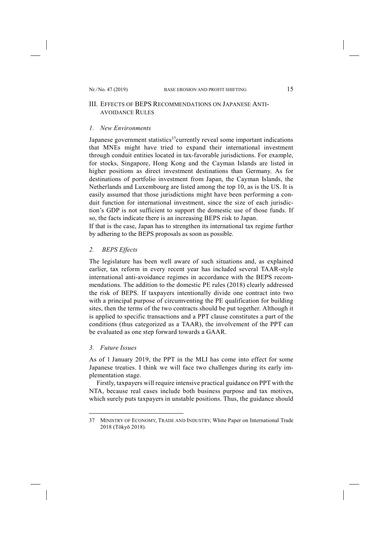# III. EFFECTS OF BEPS RECOMMENDATIONS ON JAPANESE ANTI-AVOIDANCE RULES

#### *1. New Environments*

Japanese government statistics<sup>37</sup>currently reveal some important indications that MNEs might have tried to expand their international investment through conduit entities located in tax-favorable jurisdictions. For example, for stocks, Singapore, Hong Kong and the Cayman Islands are listed in higher positions as direct investment destinations than Germany. As for destinations of portfolio investment from Japan, the Cayman Islands, the Netherlands and Luxembourg are listed among the top 10, as is the US. It is easily assumed that those jurisdictions might have been performing a conduit function for international investment, since the size of each jurisdiction's GDP is not sufficient to support the domestic use of those funds. If so, the facts indicate there is an increasing BEPS risk to Japan.

If that is the case, Japan has to strengthen its international tax regime further by adhering to the BEPS proposals as soon as possible.

# *2. BEPS Effects*

The legislature has been well aware of such situations and, as explained earlier, tax reform in every recent year has included several TAAR-style international anti-avoidance regimes in accordance with the BEPS recommendations. The addition to the domestic PE rules (2018) clearly addressed the risk of BEPS. If taxpayers intentionally divide one contract into two with a principal purpose of circumventing the PE qualification for building sites, then the terms of the two contracts should be put together. Although it is applied to specific transactions and a PPT clause constitutes a part of the conditions (thus categorized as a TAAR), the involvement of the PPT can be evaluated as one step forward towards a GAAR.

## *3. Future Issues*

 $\overline{a}$ 

As of 1 January 2019, the PPT in the MLI has come into effect for some Japanese treaties. I think we will face two challenges during its early implementation stage.

Firstly, taxpayers will require intensive practical guidance on PPT with the NTA, because real cases include both business purpose and tax motives, which surely puts taxpayers in unstable positions. Thus, the guidance should

<sup>37</sup> MINISTRY OF ECONOMY, TRADE AND INDUSTRY, White Paper on International Trade 2018 (Tōkyō 2018).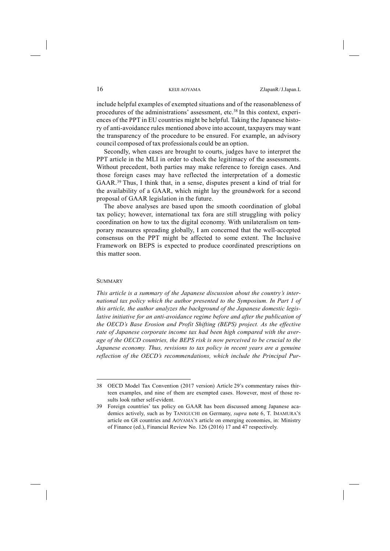include helpful examples of exempted situations and of the reasonableness of procedures of the administrations' assessment, etc.38 In this context, experiences of the PPT in EU countries might be helpful. Taking the Japanese history of anti-avoidance rules mentioned above into account, taxpayers may want the transparency of the procedure to be ensured. For example, an advisory council composed of tax professionals could be an option.

Secondly, when cases are brought to courts, judges have to interpret the PPT article in the MLI in order to check the legitimacy of the assessments. Without precedent, both parties may make reference to foreign cases. And those foreign cases may have reflected the interpretation of a domestic GAAR.39 Thus, I think that, in a sense, disputes present a kind of trial for the availability of a GAAR, which might lay the groundwork for a second proposal of GAAR legislation in the future.

The above analyses are based upon the smooth coordination of global tax policy; however, international tax fora are still struggling with policy coordination on how to tax the digital economy. With unilateralism on temporary measures spreading globally, I am concerned that the well-accepted consensus on the PPT might be affected to some extent. The Inclusive Framework on BEPS is expected to produce coordinated prescriptions on this matter soon.

#### **SUMMARY**

-

*This article is a summary of the Japanese discussion about the country's international tax policy which the author presented to the Symposium. In Part 1 of this article, the author analyzes the background of the Japanese domestic legislative initiative for an anti-avoidance regime before and after the publication of the OECD's Base Erosion and Profit Shifting (BEPS) project. As the effective rate of Japanese corporate income tax had been high compared with the average of the OECD countries, the BEPS risk is now perceived to be crucial to the Japanese economy. Thus, revisions to tax policy in recent years are a genuine reflection of the OECD's recommendations, which include the Principal Pur-*

<sup>38</sup> OECD Model Tax Convention (2017 version) Article 29's commentary raises thirteen examples, and nine of them are exempted cases. However, most of those results look rather self-evident.

<sup>39</sup> Foreign countries' tax policy on GAAR has been discussed among Japanese academics actively, such as by TANIGUCHI on Germany, *supra* note 6, T. IMAMURA'S article on G8 countries and AOYAMA'S article on emerging economies, in: Ministry of Finance (ed.), Financial Review No. 126 (2016) 17 and 47 respectively.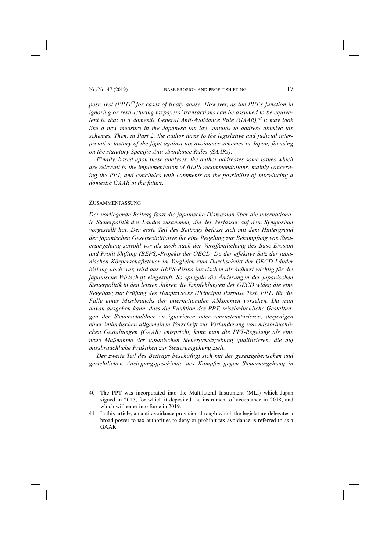*pose Test (PPT)<sup>40</sup> for cases of treaty abuse. However, as the PPT's function in ignoring or restructuring taxpayers' transactions can be assumed to be equivalent to that of a domestic General Anti-Avoidance Rule (GAAR), <sup>41</sup> it may look like a new measure in the Japanese tax law statutes to address abusive tax schemes. Then, in Part 2, the author turns to the legislative and judicial interpretative history of the fight against tax avoidance schemes in Japan, focusing on the statutory Specific Anti-Avoidance Rules (SAARs).* 

*Finally, based upon these analyses, the author addresses some issues which are relevant to the implementation of BEPS recommendations, mainly concerning the PPT, and concludes with comments on the possibility of introducing a domestic GAAR in the future.* 

#### ZUSAMMENFASSUNG

-

*Der vorliegende Beitrag fasst die japanische Diskussion über die internationale Steuerpolitik des Landes zusammen, die der Verfasser auf dem Symposium vorgestellt hat. Der erste Teil des Beitrags befasst sich mit dem Hintergrund der japanischen Gesetzesinitiative für eine Regelung zur Bekämpfung von Steuerumgehung sowohl vor als auch nach der Veröffentlichung des Base Erosion and Profit Shifting (BEPS)-Projekts der OECD. Da der effektive Satz der japanischen Körperschaftsteuer im Vergleich zum Durchschnitt der OECD-Länder bislang hoch war, wird das BEPS-Risiko inzwischen als äußerst wichtig für die japanische Wirtschaft eingestuft. So spiegeln die Änderungen der japanischen Steuerpolitik in den letzten Jahren die Empfehlungen der OECD wider, die eine Regelung zur Prüfung des Hauptzwecks (Principal Purpose Test, PPT) für die Fälle eines Missbrauchs der internationalen Abkommen vorsehen. Da man davon ausgehen kann, dass die Funktion des PPT, missbräuchliche Gestaltungen der Steuerschuldner zu ignorieren oder umzustrukturieren, derjenigen einer inländischen allgemeinen Vorschrift zur Verhinderung von missbräuchlichen Gestaltungen (GAAR) entspricht, kann man die PPT-Regelung als eine neue Maßnahme der japanischen Steuergesetzgebung qualifizieren, die auf missbräuchliche Praktiken zur Steuerumgehung zielt.* 

*Der zweite Teil des Beitrags beschäftigt sich mit der gesetzgeberischen und gerichtlichen Auslegungsgeschichte des Kampfes gegen Steuerumgehung in* 

<sup>40</sup> The PPT was incorporated into the Multilateral Instrument (MLI) which Japan signed in 2017, for which it deposited the instrument of acceptance in 2018, and which will enter into force in 2019.

<sup>41</sup> In this article, an anti-avoidance provision through which the legislature delegates a broad power to tax authorities to deny or prohibit tax avoidance is referred to as a GAAR.